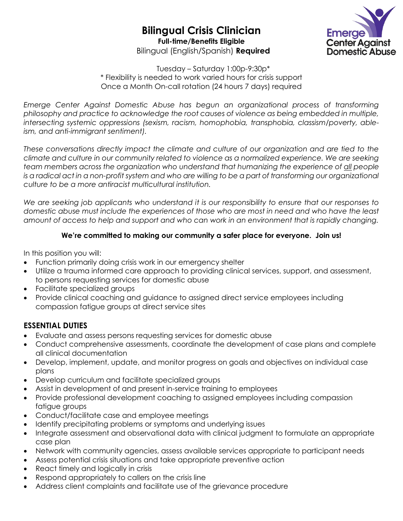# **Bilingual Crisis Clinician Full-time/Benefits Eligible**

Bilingual (English/Spanish) **Required**



Tuesday – Saturday 1:00p-9:30p\* \* Flexibility is needed to work varied hours for crisis support Once a Month On-call rotation (24 hours 7 days) required

*Emerge Center Against Domestic Abuse has begun an organizational process of transforming philosophy and practice to acknowledge the root causes of violence as being embedded in multiple, intersecting systemic oppressions (sexism, racism, homophobia, transphobia, classism/poverty, ableism, and anti-immigrant sentiment).*

*These conversations directly impact the climate and culture of our organization and are tied to the climate and culture in our community related to violence as a normalized experience. We are seeking team members across the organization who understand that humanizing the experience of all people is a radical act in a non-profit system and who are willing to be a part of transforming our organizational culture to be a more antiracist multicultural institution.* 

*We are seeking job applicants who understand it is our responsibility to ensure that our responses to domestic abuse must include the experiences of those who are most in need and who have the least amount of access to help and support and who can work in an environment that is rapidly changing.* 

### **We're committed to making our community a safer place for everyone. Join us!**

In this position you will:

- Function primarily doing crisis work in our emergency shelter
- Utilize a trauma informed care approach to providing clinical services, support, and assessment, to persons requesting services for domestic abuse
- Facilitate specialized groups
- Provide clinical coaching and guidance to assigned direct service employees including compassion fatigue groups at direct service sites

### **ESSENTIAL DUTIES**

- Evaluate and assess persons requesting services for domestic abuse
- Conduct comprehensive assessments, coordinate the development of case plans and complete all clinical documentation
- Develop, implement, update, and monitor progress on goals and objectives on individual case plans
- Develop curriculum and facilitate specialized groups
- Assist in development of and present in-service training to employees
- Provide professional development coaching to assigned employees including compassion fatigue groups
- Conduct/facilitate case and employee meetings
- Identify precipitating problems or symptoms and underlying issues
- Integrate assessment and observational data with clinical judgment to formulate an appropriate case plan
- Network with community agencies, assess available services appropriate to participant needs
- Assess potential crisis situations and take appropriate preventive action
- React timely and logically in crisis
- Respond appropriately to callers on the crisis line
- Address client complaints and facilitate use of the grievance procedure